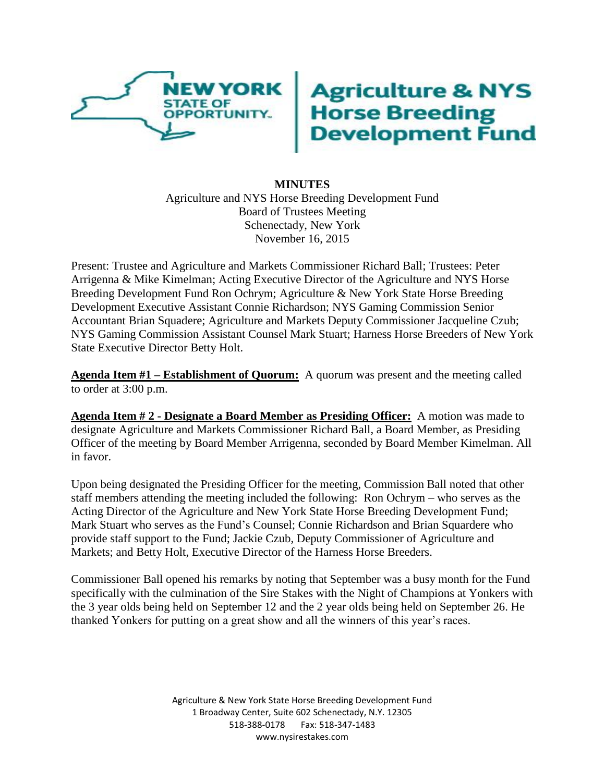

## **Agriculture & NYS<br>Horse Breeding<br>Development Fund**

## **MINUTES** Agriculture and NYS Horse Breeding Development Fund Board of Trustees Meeting Schenectady, New York November 16, 2015

Present: Trustee and Agriculture and Markets Commissioner Richard Ball; Trustees: Peter Arrigenna & Mike Kimelman; Acting Executive Director of the Agriculture and NYS Horse Breeding Development Fund Ron Ochrym; Agriculture & New York State Horse Breeding Development Executive Assistant Connie Richardson; NYS Gaming Commission Senior Accountant Brian Squadere; Agriculture and Markets Deputy Commissioner Jacqueline Czub; NYS Gaming Commission Assistant Counsel Mark Stuart; Harness Horse Breeders of New York State Executive Director Betty Holt.

**Agenda Item #1 – Establishment of Quorum:** A quorum was present and the meeting called to order at 3:00 p.m.

**Agenda Item # 2 - Designate a Board Member as Presiding Officer:** A motion was made to designate Agriculture and Markets Commissioner Richard Ball, a Board Member, as Presiding Officer of the meeting by Board Member Arrigenna, seconded by Board Member Kimelman. All in favor.

Upon being designated the Presiding Officer for the meeting, Commission Ball noted that other staff members attending the meeting included the following: Ron Ochrym – who serves as the Acting Director of the Agriculture and New York State Horse Breeding Development Fund; Mark Stuart who serves as the Fund's Counsel; Connie Richardson and Brian Squardere who provide staff support to the Fund; Jackie Czub, Deputy Commissioner of Agriculture and Markets; and Betty Holt, Executive Director of the Harness Horse Breeders.

Commissioner Ball opened his remarks by noting that September was a busy month for the Fund specifically with the culmination of the Sire Stakes with the Night of Champions at Yonkers with the 3 year olds being held on September 12 and the 2 year olds being held on September 26. He thanked Yonkers for putting on a great show and all the winners of this year's races.

> Agriculture & New York State Horse Breeding Development Fund 1 Broadway Center, Suite 602 Schenectady, N.Y. 12305 518-388-0178 Fax: 518-347-1483 www.nysirestakes.com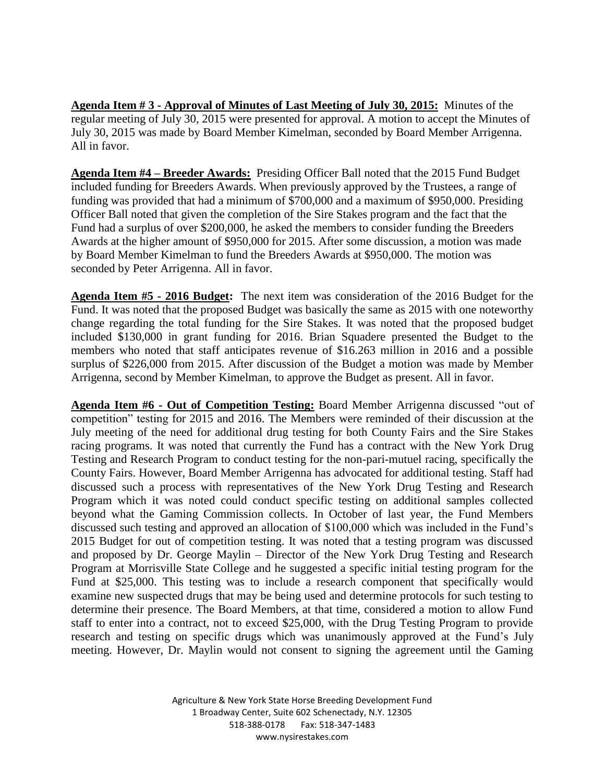**Agenda Item # 3 - Approval of Minutes of Last Meeting of July 30, 2015:** Minutes of the regular meeting of July 30, 2015 were presented for approval. A motion to accept the Minutes of July 30, 2015 was made by Board Member Kimelman, seconded by Board Member Arrigenna. All in favor.

**Agenda Item #4 – Breeder Awards:** Presiding Officer Ball noted that the 2015 Fund Budget included funding for Breeders Awards. When previously approved by the Trustees, a range of funding was provided that had a minimum of \$700,000 and a maximum of \$950,000. Presiding Officer Ball noted that given the completion of the Sire Stakes program and the fact that the Fund had a surplus of over \$200,000, he asked the members to consider funding the Breeders Awards at the higher amount of \$950,000 for 2015. After some discussion, a motion was made by Board Member Kimelman to fund the Breeders Awards at \$950,000. The motion was seconded by Peter Arrigenna. All in favor.

**Agenda Item #5 - 2016 Budget:** The next item was consideration of the 2016 Budget for the Fund. It was noted that the proposed Budget was basically the same as 2015 with one noteworthy change regarding the total funding for the Sire Stakes. It was noted that the proposed budget included \$130,000 in grant funding for 2016. Brian Squadere presented the Budget to the members who noted that staff anticipates revenue of \$16.263 million in 2016 and a possible surplus of \$226,000 from 2015. After discussion of the Budget a motion was made by Member Arrigenna, second by Member Kimelman, to approve the Budget as present. All in favor.

**Agenda Item #6 - Out of Competition Testing:** Board Member Arrigenna discussed "out of competition" testing for 2015 and 2016. The Members were reminded of their discussion at the July meeting of the need for additional drug testing for both County Fairs and the Sire Stakes racing programs. It was noted that currently the Fund has a contract with the New York Drug Testing and Research Program to conduct testing for the non-pari-mutuel racing, specifically the County Fairs. However, Board Member Arrigenna has advocated for additional testing. Staff had discussed such a process with representatives of the New York Drug Testing and Research Program which it was noted could conduct specific testing on additional samples collected beyond what the Gaming Commission collects. In October of last year, the Fund Members discussed such testing and approved an allocation of \$100,000 which was included in the Fund's 2015 Budget for out of competition testing. It was noted that a testing program was discussed and proposed by Dr. George Maylin – Director of the New York Drug Testing and Research Program at Morrisville State College and he suggested a specific initial testing program for the Fund at \$25,000. This testing was to include a research component that specifically would examine new suspected drugs that may be being used and determine protocols for such testing to determine their presence. The Board Members, at that time, considered a motion to allow Fund staff to enter into a contract, not to exceed \$25,000, with the Drug Testing Program to provide research and testing on specific drugs which was unanimously approved at the Fund's July meeting. However, Dr. Maylin would not consent to signing the agreement until the Gaming